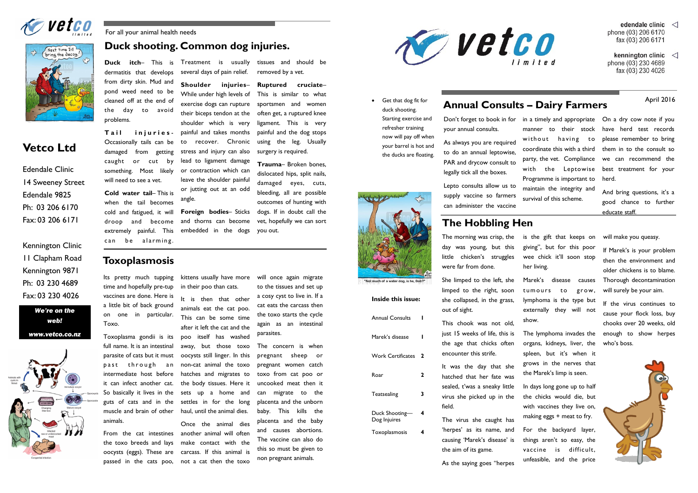Duck itch- This is Treatment is usually several days of pain relief.

> **Shoulder injuries**– While under high levels of exercise dogs can rupture their biceps tendon at the shoulder which is very painful and takes months to recover. Chronic stress and injury can also lead to ligament damage or contraction which can leave the shoulder painful or jutting out at an odd angle.

Tail iniuries-Occasionally tails can be damaged from getting caught or cut by something. Most likely will need to see a vet.

**Cold water tail**– This is when the tail becomes cold and fatigued, it will droop and become extremely painful. This can be alarming.

**Foreign bodies**– Sticks and thorns can become embedded in the dogs

dermatitis that develops from dirty skin. Mud and pond weed need to be cleaned off at the end of the day to avoid problems.

tissues and should be

removed by a vet.

**Ruptured cruciate**– This is similar to what sportsmen and women often get, a ruptured knee ligament. This is very painful and the dog stops using the leg. Usually

surgery is required.

**Trauma**– Broken bones, dislocated hips, split nails, damaged eyes, cuts, bleeding, all are possible outcomes of hunting with dogs. If in doubt call the vet, hopefully we can sort

you out.

For all your animal health needs

# **Duck shooting. Common dog injuries.**

### **Toxoplasmosis**

Its pretty much tupping time and hopefully pre-tup vaccines are done. Here is a little bit of back ground on one in particular. Toxo.

Don't forget to book in for in a timely and appropriate On a dry cow note if you have herd test records please remember to bring them in to the consult so we can recommend the best treatment for your herd.

Toxoplasma gondii is its full name. It is an intestinal parasite of cats but it must past through an intermediate host before it can infect another cat. So basically it lives in the guts of cats and in the muscle and brain of other animals.

From the cat intestines the toxo breeds and lays oocysts (eggs). These are passed in the cats poo,

kittens usually have more in their poo than cats.

It is then that other animals eat the cat poo. This can be some time after it left the cat and the poo itself has washed away, but those toxo oocysts still linger. In this non-cat animal the toxo hatches and migrates to the body tissues. Here it sets up a home and settles in for the long haul, until the animal dies.

Once the animal dies another animal will often make contact with the carcass. If this animal is not a cat then the toxo will once again migrate to the tissues and set up a cosy cyst to live in. If a cat eats the carcass then the toxo starts the cycle again as an intestinal parasites.

The concern is when pregnant sheep or pregnant women catch toxo from cat poo or uncooked meat then it can migrate to the placenta and the unborn baby. This kills the placenta and the baby and causes abortions. The vaccine can also do this so must be given to non pregnant animals.







# **Vetco Ltd**

*We're on the web! www.vetco.co.nz*



Edendale Clinic 14 Sweeney Street Edendale 9825 Ph: 03 206 6170 Fax: 03 206 6171

Kennington Clinic 11 Clapham Road Kennington 9871 Ph: 03 230 4689 Fax: 03 230 4026

And bring questions, it's a good chance to further educate staff.

your annual consults.

As always you are required to do an annual leptowise, PAR and drycow consult to legally tick all the boxes.

Lepto consults allow us to supply vaccine so farmers can administer the vaccine

manner to their stock without having to coordinate this with a third party, the vet. Compliance with the Leptowise Programme is important to maintain the integrity and survival of this scheme.

# **The Hobbling Hen**

The morning was crisp, the day was young, but this little chicken's struggles were far from done.

She limped to the left, she limped to the right, soon she collapsed, in the grass, out of sight.

This chook was not old, just 15 weeks of life, this is the age that chicks often encounter this strife.

It was the day that she hatched that her fate was sealed, t'was a sneaky little virus she picked up in the field.

The virus she caught has 'herpes' as its name, and causing 'Marek's disease' is the aim of its game.

As the saying goes "herpes

- edendale clinic  $\langle$ phone (03) 206 6170 fax (03) 206 6171
- kennington clinic  $\langle$ phone (03) 230 4689 fax (03) 230 4026

is the gift that keeps on giving", but for this poor wee chick it'll soon stop her living.

Marek's disease causes tumours to grow, lymphoma is the type but externally they will not show.

The lymphoma invades the organs, kidneys, liver, the spleen, but it's when it grows in the nerves that the Marek's limp is seen.

In days long gone up to half the chicks would die, but with vaccines they live on, making eggs + meat to fry.

For the backyard layer, things aren't so easy, the vaccine is difficult, unfeasible, and the price will make you queasy.

If Marek's is your problem then the environment and older chickens is to blame. Thorough decontamination will surely be your aim.

If the virus continues to cause your flock loss, buy chooks over 20 weeks, old enough to show herpes who's boss.



duck shooting. Starting exercise and refresher training now will pay off when your barrel is hot and the ducks are floating.



**Inside this issue:**

| <b>Annual Consults</b>         | ı |
|--------------------------------|---|
| Marek's disease                |   |
| <b>Work Certificates</b>       | 2 |
| Roar                           | 2 |
| Teatsealing                    | 3 |
| Duck Shooting—<br>Dog Injuires | 4 |
| Toxoplasmosis                  |   |

# **Annual Consults – Dairy Farmers** April 2016